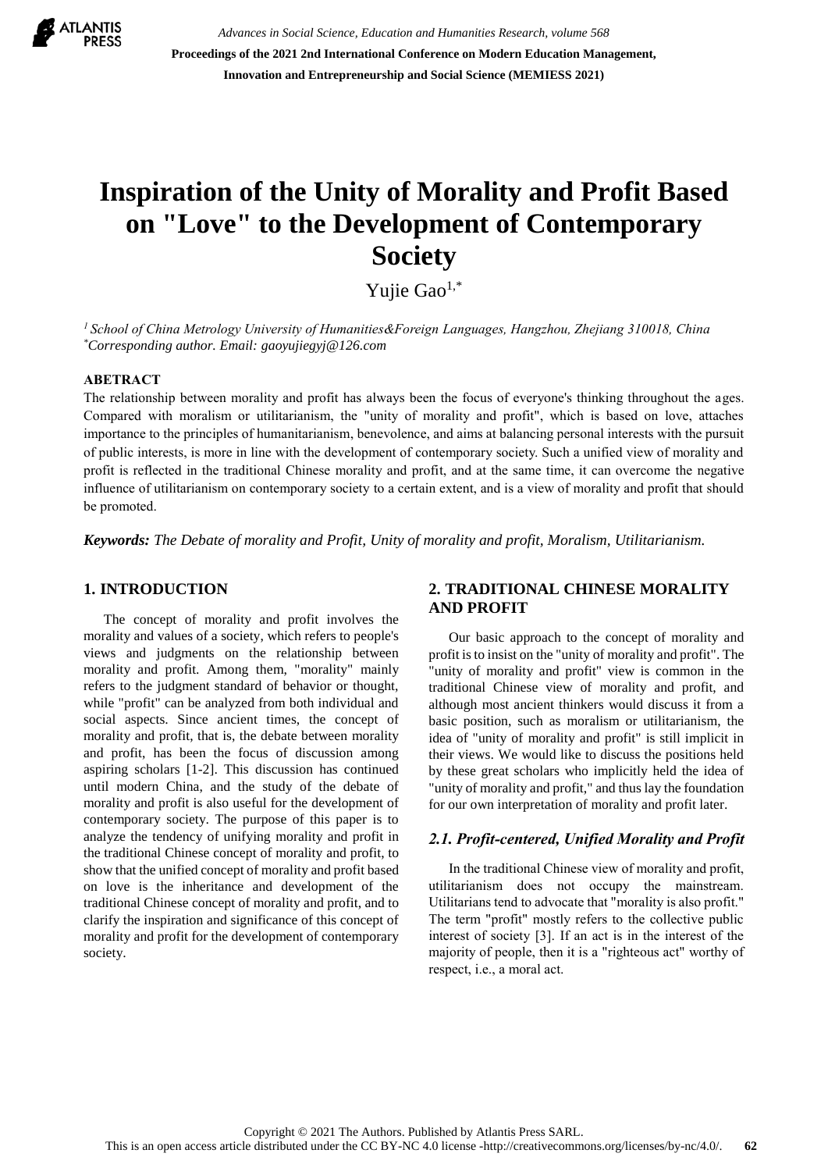

*Advances in Social Science, Education and Humanities Research, volume 568* **Proceedings of the 2021 2nd International Conference on Modern Education Management, Innovation and Entrepreneurship and Social Science (MEMIESS 2021)**

# **Inspiration of the Unity of Morality and Profit Based on "Love" to the Development of Contemporary Society**

Yujie Gao<sup>1,\*</sup>

*<sup>1</sup> School of China Metrology University of Humanities&Foreign Languages, Hangzhou, Zhejiang 310018, China \*Corresponding author. Email: [gaoyujiegyj@126.com](mailto:gaoyujiegyj@126.com)*

#### **ABETRACT**

The relationship between morality and profit has always been the focus of everyone's thinking throughout the ages. Compared with moralism or utilitarianism, the "unity of morality and profit", which is based on love, attaches importance to the principles of humanitarianism, benevolence, and aims at balancing personal interests with the pursuit of public interests, is more in line with the development of contemporary society. Such a unified view of morality and profit is reflected in the traditional Chinese morality and profit, and at the same time, it can overcome the negative influence of utilitarianism on contemporary society to a certain extent, and is a view of morality and profit that should be promoted.

*Keywords: The Debate of morality and Profit, Unity of morality and profit, Moralism, Utilitarianism.*

## **1. INTRODUCTION**

The concept of morality and profit involves the morality and values of a society, which refers to people's views and judgments on the relationship between morality and profit. Among them, "morality" mainly refers to the judgment standard of behavior or thought, while "profit" can be analyzed from both individual and social aspects. Since ancient times, the concept of morality and profit, that is, the debate between morality and profit, has been the focus of discussion among aspiring scholars [1-2]. This discussion has continued until modern China, and the study of the debate of morality and profit is also useful for the development of contemporary society. The purpose of this paper is to analyze the tendency of unifying morality and profit in the traditional Chinese concept of morality and profit, to show that the unified concept of morality and profit based on love is the inheritance and development of the traditional Chinese concept of morality and profit, and to clarify the inspiration and significance of this concept of morality and profit for the development of contemporary society.

# **2. TRADITIONAL CHINESE MORALITY AND PROFIT**

Our basic approach to the concept of morality and profit is to insist on the "unity of morality and profit". The "unity of morality and profit" view is common in the traditional Chinese view of morality and profit, and although most ancient thinkers would discuss it from a basic position, such as moralism or utilitarianism, the idea of "unity of morality and profit" is still implicit in their views. We would like to discuss the positions held by these great scholars who implicitly held the idea of "unity of morality and profit," and thus lay the foundation for our own interpretation of morality and profit later.

#### *2.1. Profit-centered, Unified Morality and Profit*

In the traditional Chinese view of morality and profit, utilitarianism does not occupy the mainstream. Utilitarians tend to advocate that "morality is also profit." The term "profit" mostly refers to the collective public interest of society [3]. If an act is in the interest of the majority of people, then it is a "righteous act" worthy of respect, i.e., a moral act.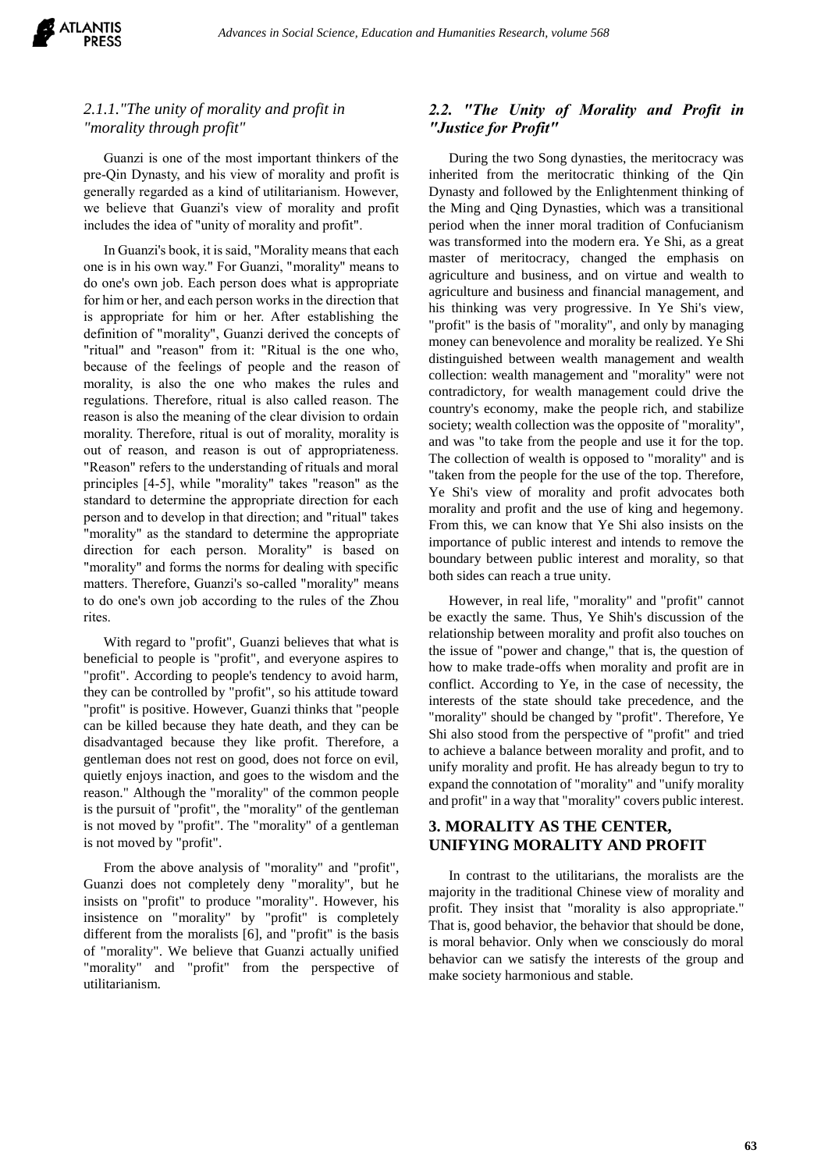

# *2.1.1."The unity of morality and profit in "morality through profit"*

Guanzi is one of the most important thinkers of the pre-Qin Dynasty, and his view of morality and profit is generally regarded as a kind of utilitarianism. However, we believe that Guanzi's view of morality and profit includes the idea of "unity of morality and profit".

In Guanzi's book, it is said, "Morality means that each one is in his own way." For Guanzi, "morality" means to do one's own job. Each person does what is appropriate for him or her, and each person works in the direction that is appropriate for him or her. After establishing the definition of "morality", Guanzi derived the concepts of "ritual" and "reason" from it: "Ritual is the one who, because of the feelings of people and the reason of morality, is also the one who makes the rules and regulations. Therefore, ritual is also called reason. The reason is also the meaning of the clear division to ordain morality. Therefore, ritual is out of morality, morality is out of reason, and reason is out of appropriateness. "Reason" refers to the understanding of rituals and moral principles [4-5], while "morality" takes "reason" as the standard to determine the appropriate direction for each person and to develop in that direction; and "ritual" takes "morality" as the standard to determine the appropriate direction for each person. Morality" is based on "morality" and forms the norms for dealing with specific matters. Therefore, Guanzi's so-called "morality" means to do one's own job according to the rules of the Zhou rites.

With regard to "profit", Guanzi believes that what is beneficial to people is "profit", and everyone aspires to "profit". According to people's tendency to avoid harm, they can be controlled by "profit", so his attitude toward "profit" is positive. However, Guanzi thinks that "people can be killed because they hate death, and they can be disadvantaged because they like profit. Therefore, a gentleman does not rest on good, does not force on evil, quietly enjoys inaction, and goes to the wisdom and the reason." Although the "morality" of the common people is the pursuit of "profit", the "morality" of the gentleman is not moved by "profit". The "morality" of a gentleman is not moved by "profit".

From the above analysis of "morality" and "profit", Guanzi does not completely deny "morality", but he insists on "profit" to produce "morality". However, his insistence on "morality" by "profit" is completely different from the moralists [6], and "profit" is the basis of "morality". We believe that Guanzi actually unified "morality" and "profit" from the perspective of utilitarianism.

# *2.2. "The Unity of Morality and Profit in "Justice for Profit"*

During the two Song dynasties, the meritocracy was inherited from the meritocratic thinking of the Qin Dynasty and followed by the Enlightenment thinking of the Ming and Qing Dynasties, which was a transitional period when the inner moral tradition of Confucianism was transformed into the modern era. Ye Shi, as a great master of meritocracy, changed the emphasis on agriculture and business, and on virtue and wealth to agriculture and business and financial management, and his thinking was very progressive. In Ye Shi's view, "profit" is the basis of "morality", and only by managing money can benevolence and morality be realized. Ye Shi distinguished between wealth management and wealth collection: wealth management and "morality" were not contradictory, for wealth management could drive the country's economy, make the people rich, and stabilize society; wealth collection was the opposite of "morality", and was "to take from the people and use it for the top. The collection of wealth is opposed to "morality" and is "taken from the people for the use of the top. Therefore, Ye Shi's view of morality and profit advocates both morality and profit and the use of king and hegemony. From this, we can know that Ye Shi also insists on the importance of public interest and intends to remove the boundary between public interest and morality, so that both sides can reach a true unity.

However, in real life, "morality" and "profit" cannot be exactly the same. Thus, Ye Shih's discussion of the relationship between morality and profit also touches on the issue of "power and change," that is, the question of how to make trade-offs when morality and profit are in conflict. According to Ye, in the case of necessity, the interests of the state should take precedence, and the "morality" should be changed by "profit". Therefore, Ye Shi also stood from the perspective of "profit" and tried to achieve a balance between morality and profit, and to unify morality and profit. He has already begun to try to expand the connotation of "morality" and "unify morality and profit" in a way that "morality" covers public interest.

## **3. MORALITY AS THE CENTER, UNIFYING MORALITY AND PROFIT**

In contrast to the utilitarians, the moralists are the majority in the traditional Chinese view of morality and profit. They insist that "morality is also appropriate." That is, good behavior, the behavior that should be done, is moral behavior. Only when we consciously do moral behavior can we satisfy the interests of the group and make society harmonious and stable.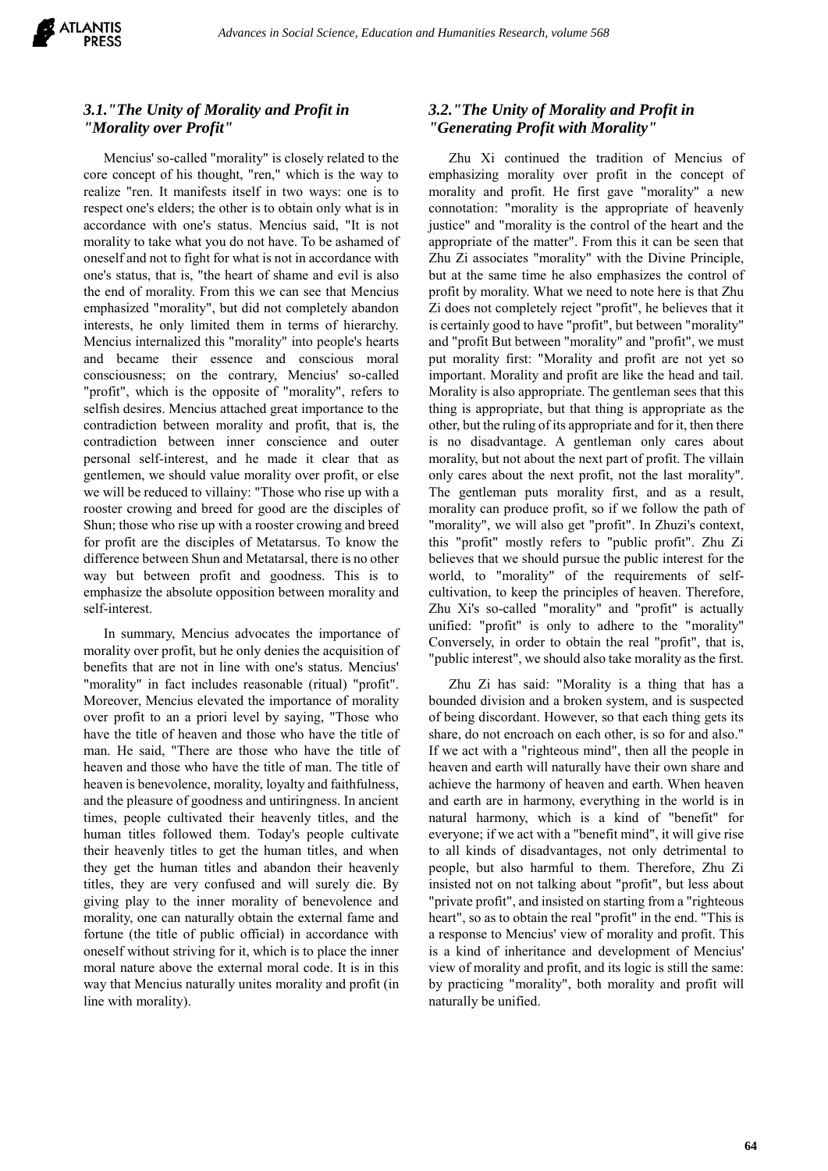

# *3.1."The Unity of Morality and Profit in "Morality over Profit"*

Mencius' so-called "morality" is closely related to the core concept of his thought, "ren," which is the way to realize "ren. It manifests itself in two ways: one is to respect one's elders; the other is to obtain only what is in accordance with one's status. Mencius said, "It is not morality to take what you do not have. To be ashamed of oneself and not to fight for what is not in accordance with one's status, that is, "the heart of shame and evil is also the end of morality. From this we can see that Mencius emphasized "morality", but did not completely abandon interests, he only limited them in terms of hierarchy. Mencius internalized this "morality" into people's hearts and became their essence and conscious moral consciousness; on the contrary, Mencius' so-called "profit", which is the opposite of "morality", refers to selfish desires. Mencius attached great importance to the contradiction between morality and profit, that is, the contradiction between inner conscience and outer personal self-interest, and he made it clear that as gentlemen, we should value morality over profit, or else we will be reduced to villainy: "Those who rise up with a rooster crowing and breed for good are the disciples of Shun; those who rise up with a rooster crowing and breed for profit are the disciples of Metatarsus. To know the difference between Shun and Metatarsal, there is no other way but between profit and goodness. This is to emphasize the absolute opposition between morality and self-interest.

In summary, Mencius advocates the importance of morality over profit, but he only denies the acquisition of benefits that are not in line with one's status. Mencius' "morality" in fact includes reasonable (ritual) "profit". Moreover, Mencius elevated the importance of morality over profit to an a priori level by saying, "Those who have the title of heaven and those who have the title of man. He said, "There are those who have the title of heaven and those who have the title of man. The title of heaven is benevolence, morality, loyalty and faithfulness, and the pleasure of goodness and untiringness. In ancient times, people cultivated their heavenly titles, and the human titles followed them. Today's people cultivate their heavenly titles to get the human titles, and when they get the human titles and abandon their heavenly titles, they are very confused and will surely die. By giving play to the inner morality of benevolence and morality, one can naturally obtain the external fame and fortune (the title of public official) in accordance with oneself without striving for it, which is to place the inner moral nature above the external moral code. It is in this way that Mencius naturally unites morality and profit (in line with morality).

# *3.2."The Unity of Morality and Profit in "Generating Profit with Morality"*

Zhu Xi continued the tradition of Mencius of emphasizing morality over profit in the concept of morality and profit. He first gave "morality" a new connotation: "morality is the appropriate of heavenly justice" and "morality is the control of the heart and the appropriate of the matter". From this it can be seen that Zhu Zi associates "morality" with the Divine Principle, but at the same time he also emphasizes the control of profit by morality. What we need to note here is that Zhu Zi does not completely reject "profit", he believes that it is certainly good to have "profit", but between "morality" and "profit But between "morality" and "profit", we must put morality first: "Morality and profit are not yet so important. Morality and profit are like the head and tail. Morality is also appropriate. The gentleman sees that this thing is appropriate, but that thing is appropriate as the other, but the ruling of its appropriate and for it, then there is no disadvantage. A gentleman only cares about morality, but not about the next part of profit. The villain only cares about the next profit, not the last morality". The gentleman puts morality first, and as a result, morality can produce profit, so if we follow the path of "morality", we will also get "profit". In Zhuzi's context, this "profit" mostly refers to "public profit". Zhu Zi believes that we should pursue the public interest for the world, to "morality" of the requirements of selfcultivation, to keep the principles of heaven. Therefore, Zhu Xi's so-called "morality" and "profit" is actually unified: "profit" is only to adhere to the "morality" Conversely, in order to obtain the real "profit", that is, "public interest", we should also take morality as the first.

Zhu Zi has said: "Morality is a thing that has a bounded division and a broken system, and is suspected of being discordant. However, so that each thing gets its share, do not encroach on each other, is so for and also." If we act with a "righteous mind", then all the people in heaven and earth will naturally have their own share and achieve the harmony of heaven and earth. When heaven and earth are in harmony, everything in the world is in natural harmony, which is a kind of "benefit" for everyone; if we act with a "benefit mind", it will give rise to all kinds of disadvantages, not only detrimental to people, but also harmful to them. Therefore, Zhu Zi insisted not on not talking about "profit", but less about "private profit", and insisted on starting from a "righteous heart", so as to obtain the real "profit" in the end. "This is a response to Mencius' view of morality and profit. This is a kind of inheritance and development of Mencius' view of morality and profit, and its logic is still the same: by practicing "morality", both morality and profit will naturally be unified.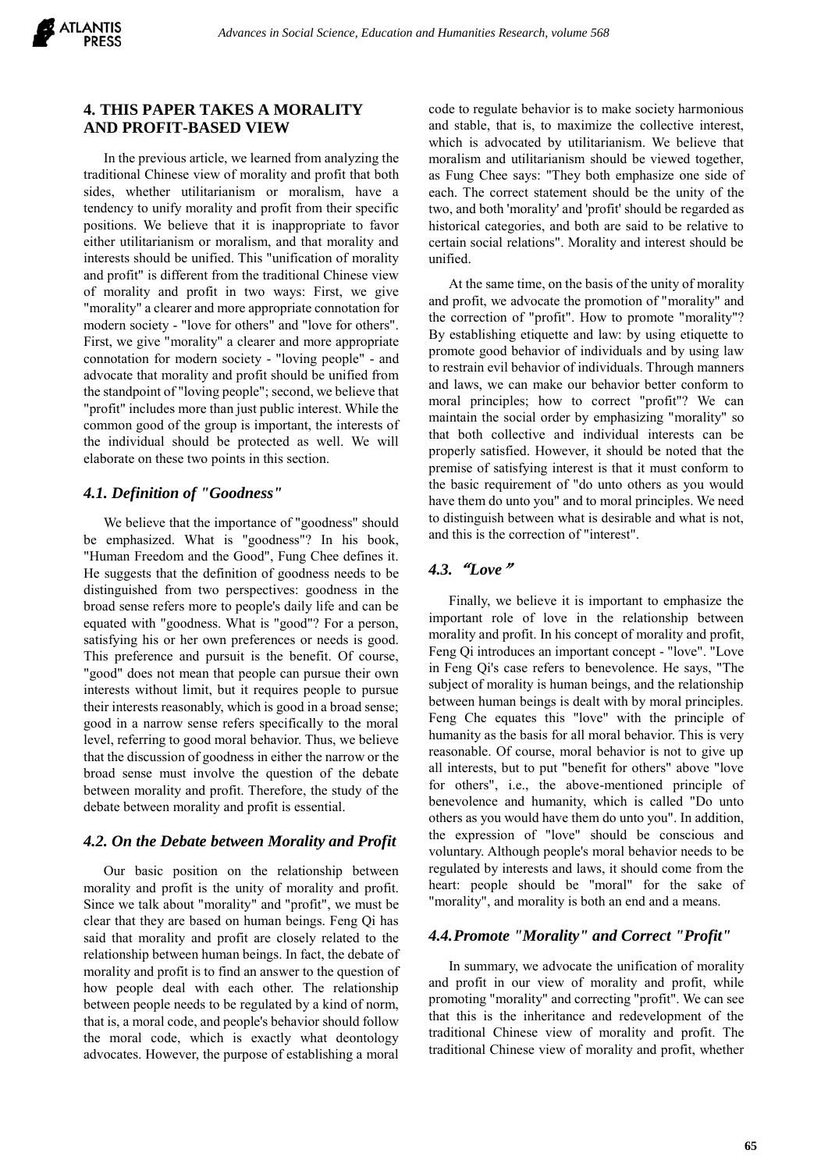

## **4. THIS PAPER TAKES A MORALITY AND PROFIT-BASED VIEW**

In the previous article, we learned from analyzing the traditional Chinese view of morality and profit that both sides, whether utilitarianism or moralism, have a tendency to unify morality and profit from their specific positions. We believe that it is inappropriate to favor either utilitarianism or moralism, and that morality and interests should be unified. This "unification of morality and profit" is different from the traditional Chinese view of morality and profit in two ways: First, we give "morality" a clearer and more appropriate connotation for modern society - "love for others" and "love for others". First, we give "morality" a clearer and more appropriate connotation for modern society - "loving people" - and advocate that morality and profit should be unified from the standpoint of "loving people"; second, we believe that "profit" includes more than just public interest. While the common good of the group is important, the interests of the individual should be protected as well. We will elaborate on these two points in this section.

## *4.1. Definition of "Goodness"*

We believe that the importance of "goodness" should be emphasized. What is "goodness"? In his book, "Human Freedom and the Good", Fung Chee defines it. He suggests that the definition of goodness needs to be distinguished from two perspectives: goodness in the broad sense refers more to people's daily life and can be equated with "goodness. What is "good"? For a person, satisfying his or her own preferences or needs is good. This preference and pursuit is the benefit. Of course, "good" does not mean that people can pursue their own interests without limit, but it requires people to pursue their interests reasonably, which is good in a broad sense; good in a narrow sense refers specifically to the moral level, referring to good moral behavior. Thus, we believe that the discussion of goodness in either the narrow or the broad sense must involve the question of the debate between morality and profit. Therefore, the study of the debate between morality and profit is essential.

### *4.2. On the Debate between Morality and Profit*

Our basic position on the relationship between morality and profit is the unity of morality and profit. Since we talk about "morality" and "profit", we must be clear that they are based on human beings. Feng Qi has said that morality and profit are closely related to the relationship between human beings. In fact, the debate of morality and profit is to find an answer to the question of how people deal with each other. The relationship between people needs to be regulated by a kind of norm, that is, a moral code, and people's behavior should follow the moral code, which is exactly what deontology advocates. However, the purpose of establishing a moral

code to regulate behavior is to make society harmonious and stable, that is, to maximize the collective interest, which is advocated by utilitarianism. We believe that moralism and utilitarianism should be viewed together, as Fung Chee says: "They both emphasize one side of each. The correct statement should be the unity of the two, and both 'morality' and 'profit' should be regarded as historical categories, and both are said to be relative to certain social relations". Morality and interest should be unified.

At the same time, on the basis of the unity of morality and profit, we advocate the promotion of "morality" and the correction of "profit". How to promote "morality"? By establishing etiquette and law: by using etiquette to promote good behavior of individuals and by using law to restrain evil behavior of individuals. Through manners and laws, we can make our behavior better conform to moral principles; how to correct "profit"? We can maintain the social order by emphasizing "morality" so that both collective and individual interests can be properly satisfied. However, it should be noted that the premise of satisfying interest is that it must conform to the basic requirement of "do unto others as you would have them do unto you" and to moral principles. We need to distinguish between what is desirable and what is not, and this is the correction of "interest".

## *4.3.*"*Love*"

Finally, we believe it is important to emphasize the important role of love in the relationship between morality and profit. In his concept of morality and profit, Feng Qi introduces an important concept - "love". "Love in Feng Qi's case refers to benevolence. He says, "The subject of morality is human beings, and the relationship between human beings is dealt with by moral principles. Feng Che equates this "love" with the principle of humanity as the basis for all moral behavior. This is very reasonable. Of course, moral behavior is not to give up all interests, but to put "benefit for others" above "love for others", i.e., the above-mentioned principle of benevolence and humanity, which is called "Do unto others as you would have them do unto you". In addition, the expression of "love" should be conscious and voluntary. Although people's moral behavior needs to be regulated by interests and laws, it should come from the heart: people should be "moral" for the sake of "morality", and morality is both an end and a means.

### *4.4.Promote "Morality" and Correct "Profit"*

In summary, we advocate the unification of morality and profit in our view of morality and profit, while promoting "morality" and correcting "profit". We can see that this is the inheritance and redevelopment of the traditional Chinese view of morality and profit. The traditional Chinese view of morality and profit, whether